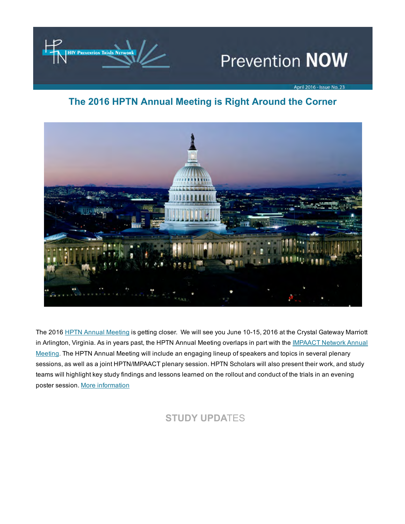

# **Prevention NOW**

April 2016 - Issue No. 23

## The 2016 HPTN Annual Meeting is Right Around the Corner



The 2016 HPTN Annual [Meeting](https://t.e2ma.net/click/8kq4n/wbvofp/cgprii) is getting closer. We will see you June 10-15, 2016 at the Crystal Gateway Marriott in Arlington, Virginia. As in years past, the HPTN Annual Meeting overlaps in part with the **[IMPAACT](https://t.e2ma.net/click/8kq4n/wbvofp/s8prii) Network Annual** Meeting. The HPTN Annual Meeting will include an engaging lineup of speakers and topics in several plenary sessions, as well as a joint HPTN/IMPAACT plenary session. HPTN Scholars will also present their work, and study teams will highlight key study findings and lessons learned on the rollout and conduct of the trials in an evening poster session. More [information](https://t.e2ma.net/click/8kq4n/wbvofp/80qrii)

# STUDY UPDATES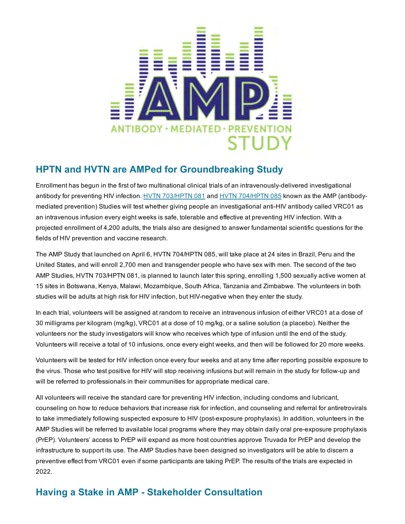

#### HPTN and HVTN are AMPed for Groundbreaking Study

Enrollment has begun in the first of two multinational clinical trials of an intravenously-delivered investigational antibody for preventing HIV infection. HVTN [703/HPTN](https://t.e2ma.net/click/8kq4n/wbvofp/otrrii) 081 and HVTN [704/HPTN](https://t.e2ma.net/click/8kq4n/wbvofp/4lsrii) 085 known as the AMP (antibodymediated prevention) Studies will test whether giving people an investigational anti-HIV antibody called VRC01 as an intravenous infusion every eight weeks is safe, tolerable and effective at preventing HIV infection. With a projected enrollment of 4,200 adults, the trials also are designed to answer fundamental scientific questions for the fields of HIV prevention and vaccine research.

The AMP Study that launched on April 6, HVTN 704/HPTN 085, will take place at 24 sites in Brazil, Peru and the United States, and will enroll 2,700 men and transgender people who have sex with men. The second of the two AMP Studies, HVTN 703/HPTN 081, is planned to launch later this spring, enrolling 1,500 sexually active women at 15 sites in Botswana, Kenya, Malawi, Mozambique, South Africa, Tanzania and Zimbabwe. The volunteers in both studies will be adults at high risk for HIV infection, but HIV-negative when they enter the study.

In each trial, volunteers will be assigned at random to receive an intravenous infusion of either VRC01 at a dose of 30 milligrams per kilogram (mg/kg), VRC01 at a dose of 10 mg/kg, or a saline solution (a placebo). Neither the volunteers nor the study investigators will know who receives which type of infusion until the end of the study. Volunteers will receive a total of 10 infusions, once every eight weeks, and then will be followed for 20 more weeks.

Volunteers will be tested for HIV infection once every four weeks and at any time after reporting possible exposure to the virus. Those who test positive for HIV will stop receiving infusions but will remain in the study for follow-up and will be referred to professionals in their communities for appropriate medical care.

All volunteers will receive the standard care for preventing HIV infection, including condoms and lubricant, counseling on how to reduce behaviors that increase risk for infection, and counseling and referral for antiretrovirals to take immediately following suspected exposure to HIV (post-exposure prophylaxis). In addition, volunteers in the AMP Studies will be referred to available local programs where they may obtain daily oral pre-exposure prophylaxis (PrEP). Volunteers' access to PrEP will expand as more host countries approve Truvada for PrEP and develop the infrastructure to support its use. The AMP Studies have been designed so investigators will be able to discern a preventive effect from VRC01 even if some participants are taking PrEP. The results of the trials are expected in 2022.

## Having a Stake in AMP - Stakeholder Consultation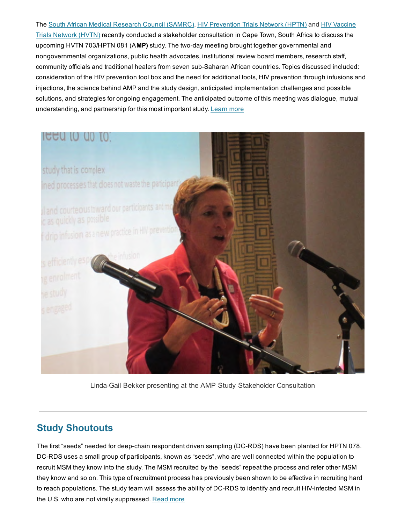The South African Medical [Research](https://t.e2ma.net/click/8kq4n/wbvofp/ketrii) Council (SAMRC), HIV [Prevention](https://t.e2ma.net/click/8kq4n/wbvofp/06trii) Trials Network (HPTN) and HIV Vaccine Trials Network (HVTN) recently conducted a stakeholder [consultation](https://t.e2ma.net/click/8kq4n/wbvofp/gzurii) in Cape Town, South Africa to discuss the upcoming HVTN 703/HPTN 081 (AMP) study. The two-day meeting brought together governmental and nongovernmental organizations, public health advocates, institutional review board members, research staff, community officials and traditional healers from seven sub-Saharan African countries. Topics discussed included: consideration of the HIV prevention tool box and the need for additional tools, HIV prevention through infusions and injections, the science behind AMP and the study design, anticipated implementation challenges and possible solutions, and strategies for ongoing engagement. The anticipated outcome of this meeting was dialogue, mutual understanding, and partnership for this most important study. [Learn](https://t.e2ma.net/click/8kq4n/wbvofp/wrvrii) more



Linda-Gail Bekker presenting at the AMP Study Stakeholder Consultation

#### Study Shoutouts

The first "seeds" needed for deep-chain respondent driven sampling (DC-RDS) have been planted for HPTN 078. DC-RDS uses a small group of participants, known as "seeds", who are well connected within the population to recruit MSM they know into the study. The MSM recruited by the "seeds" repeat the process and refer other MSM they know and so on. This type of recruitment process has previously been shown to be effective in recruiting hard to reach populations. The study team will assess the ability of DC-RDS to identify and recruit HIV-infected MSM in the U.S. who are not virally suppressed. [Read](https://t.e2ma.net/click/8kq4n/wbvofp/ckwrii) more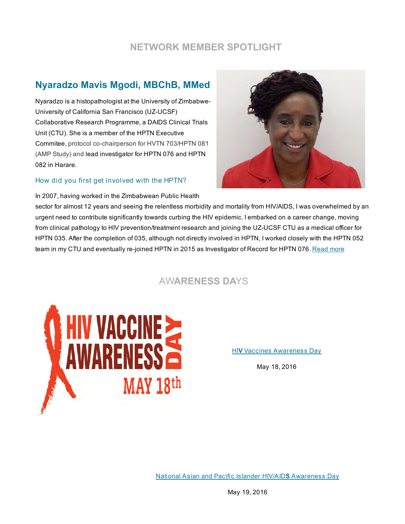#### NETWORK MEMBER SPOTLIGHT

## Nyaradzo Mavis Mgodi, MBChB, MMed

Nyaradzo is a histopathologist at the University of Zimbabwe-University of California San Francisco (UZ-UCSF) Collaborative Research Programme, a DAIDS Clinical Trials Unit (CTU). She is a member of the HPTN Executive Commitee, protocol co-chairperson for HVTN 703/HPTN 081 (AMP Study) and lead investigator for HPTN 076 and HPTN 082 in Harare.

#### How did you first get involved with the HPTN?

In 2007, having worked in the Zimbabwean Public Health



sector for almost 12 years and seeing the relentless morbidity and mortality from HIV/AIDS, I was overwhelmed by an urgent need to contribute significantly towards curbing the HIV epidemic. I embarked on a career change, moving from clinical pathology to HIV prevention/treatment research and joining the UZ-UCSF CTU as a medical officer for HPTN 035. After the completion of 035, although not directly involved in HPTN, I worked closely with the HPTN 052 team in my CTU and eventually re-joined HPTN in 2015 as Investigator of Record for HPTN 076. [Read](https://t.e2ma.net/click/8kq4n/wbvofp/scxrii) more

AWARENESS DAYS



HIV Vaccines [Awareness](https://t.e2ma.net/click/8kq4n/wbvofp/84xrii) Day

May 18, 2016

National Asian and Pacific Islander HIV/AIDS [Awareness](https://t.e2ma.net/click/8kq4n/wbvofp/oxyrii) Day